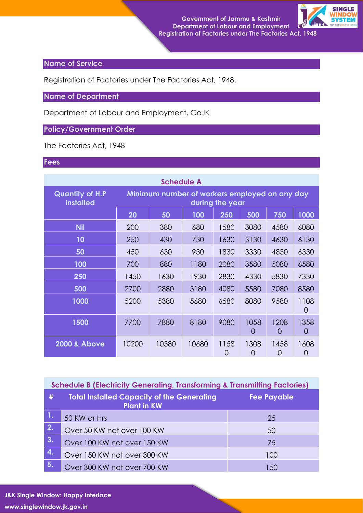

## **Name of Service**

Registration of Factories under The Factories Act, 1948.

**Name of Department**

Department of Labour and Employment, GoJK

## **Policy/Government Order**

The Factories Act, 1948

## **Fees**

| <b>Schedule A</b>                          |                                                                  |       |       |           |                  |           |                  |  |  |
|--------------------------------------------|------------------------------------------------------------------|-------|-------|-----------|------------------|-----------|------------------|--|--|
| <b>Quantity of H.P</b><br><b>installed</b> | Minimum number of workers employed on any day<br>during the year |       |       |           |                  |           |                  |  |  |
|                                            | 20                                                               | 50    | 100   | 250       | 500              | 750       | 1000             |  |  |
| <b>Nil</b>                                 | 200                                                              | 380   | 680   | 1580      | 3080             | 4580      | 6080             |  |  |
| 10                                         | 250                                                              | 430   | 730   | 1630      | 3130             | 4630      | 6130             |  |  |
| 50                                         | 450                                                              | 630   | 930   | 1830      | 3330             | 4830      | 6330             |  |  |
| 100                                        | 700                                                              | 880   | 1180  | 2080      | 3580             | 5080      | 6580             |  |  |
| 250                                        | 1450                                                             | 1630  | 1930  | 2830      | 4330             | 5830      | 7330             |  |  |
| 500                                        | 2700                                                             | 2880  | 3180  | 4080      | 5580             | 7080      | 8580             |  |  |
| 1000                                       | 5200                                                             | 5380  | 5680  | 6580      | 8080             | 9580      | 1108<br>O        |  |  |
| 1500                                       | 7700                                                             | 7880  | 8180  | 9080      | 1058<br>$\Omega$ | 1208<br>O | 1358<br>$\Omega$ |  |  |
| <b>2000 &amp; Above</b>                    | 10200                                                            | 10380 | 10680 | 1158<br>0 | 1308<br>O        | 1458<br>0 | 1608<br>0        |  |  |

| <b>Schedule B (Electricity Generating, Transforming &amp; Transmitting Factories)</b> |                                                                         |                    |  |  |  |
|---------------------------------------------------------------------------------------|-------------------------------------------------------------------------|--------------------|--|--|--|
| #                                                                                     | <b>Total Installed Capacity of the Generating</b><br><b>Plant in KW</b> | <b>Fee Payable</b> |  |  |  |
| <b>AV</b>                                                                             | 50 KW or Hrs                                                            | 25                 |  |  |  |
| 2.                                                                                    | Over 50 KW not over 100 KW                                              | 50                 |  |  |  |
| 3.                                                                                    | Over 100 KW not over 150 KW                                             | 75                 |  |  |  |
| 4.                                                                                    | Over 150 KW not over 300 KW                                             | 100                |  |  |  |
| 5.                                                                                    | Over 300 KW not over 700 KW                                             | 150                |  |  |  |